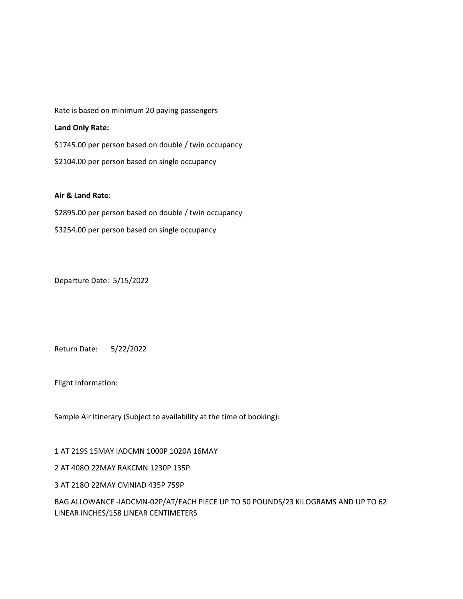Rate is based on minimum 20 paying passengers

## **Land Only Rate:**

\$1745.00 per person based on double / twin occupancy \$2104.00 per person based on single occupancy

## **Air & Land Rate**:

\$2895.00 per person based on double / twin occupancy \$3254.00 per person based on single occupancy

Departure Date: 5/15/2022

Return Date: 5/22/2022

Flight Information:

Sample Air Itinerary (Subject to availability at the time of booking):

1 AT 219S 15MAY IADCMN 1000P 1020A 16MAY

2 AT 408O 22MAY RAKCMN 1230P 135P

3 AT 218O 22MAY CMNIAD 435P 759P

BAG ALLOWANCE -IADCMN-02P/AT/EACH PIECE UP TO 50 POUNDS/23 KILOGRAMS AND UP TO 62 LINEAR INCHES/158 LINEAR CENTIMETERS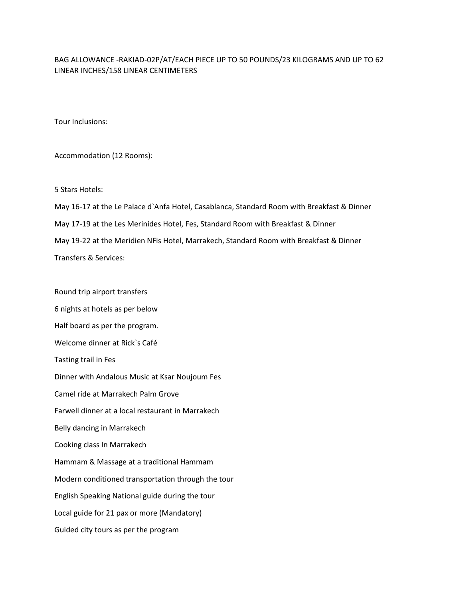## BAG ALLOWANCE -RAKIAD-02P/AT/EACH PIECE UP TO 50 POUNDS/23 KILOGRAMS AND UP TO 62 LINEAR INCHES/158 LINEAR CENTIMETERS

Tour Inclusions:

Accommodation (12 Rooms):

5 Stars Hotels:

May 16-17 at the Le Palace d`Anfa Hotel, Casablanca, Standard Room with Breakfast & Dinner May 17-19 at the Les Merinides Hotel, Fes, Standard Room with Breakfast & Dinner May 19-22 at the Meridien NFis Hotel, Marrakech, Standard Room with Breakfast & Dinner Transfers & Services:

Round trip airport transfers

6 nights at hotels as per below Half board as per the program. Welcome dinner at Rick`s Café Tasting trail in Fes Dinner with Andalous Music at Ksar Noujoum Fes Camel ride at Marrakech Palm Grove Farwell dinner at a local restaurant in Marrakech Belly dancing in Marrakech Cooking class In Marrakech Hammam & Massage at a traditional Hammam Modern conditioned transportation through the tour English Speaking National guide during the tour Local guide for 21 pax or more (Mandatory) Guided city tours as per the program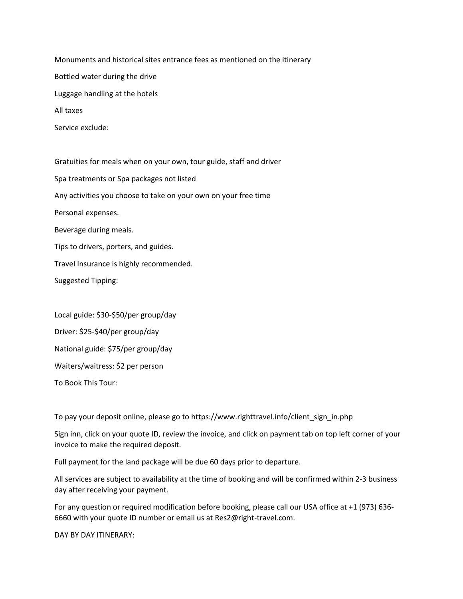Monuments and historical sites entrance fees as mentioned on the itinerary Bottled water during the drive Luggage handling at the hotels All taxes

Service exclude:

Gratuities for meals when on your own, tour guide, staff and driver Spa treatments or Spa packages not listed Any activities you choose to take on your own on your free time Personal expenses. Beverage during meals. Tips to drivers, porters, and guides. Travel Insurance is highly recommended. Suggested Tipping:

Local guide: \$30-\$50/per group/day Driver: \$25-\$40/per group/day National guide: \$75/per group/day Waiters/waitress: \$2 per person To Book This Tour:

To pay your deposit online, please go to https://www.righttravel.info/client\_sign\_in.php

Sign inn, click on your quote ID, review the invoice, and click on payment tab on top left corner of your invoice to make the required deposit.

Full payment for the land package will be due 60 days prior to departure.

All services are subject to availability at the time of booking and will be confirmed within 2-3 business day after receiving your payment.

For any question or required modification before booking, please call our USA office at +1 (973) 636- 6660 with your quote ID number or email us at Res2@right-travel.com.

DAY BY DAY ITINERARY: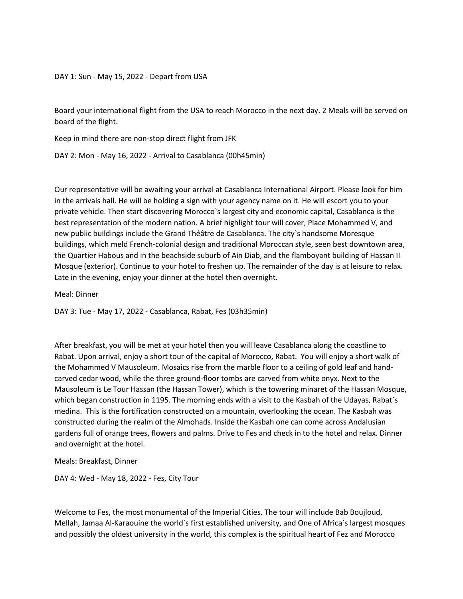DAY 1: Sun - May 15, 2022 - Depart from USA

Board your international flight from the USA to reach Morocco in the next day. 2 Meals will be served on board of the flight.

Keep in mind there are non-stop direct flight from JFK

DAY 2: Mon - May 16, 2022 - Arrival to Casablanca (00h45min)

Our representative will be awaiting your arrival at Casablanca International Airport. Please look for him in the arrivals hall. He will be holding a sign with your agency name on it. He will escort you to your private vehicle. Then start discovering Morocco`s largest city and economic capital, Casablanca is the best representation of the modern nation. A brief highlight tour will cover, Place Mohammed V, and new public buildings include the Grand Théâtre de Casablanca. The city`s handsome Moresque buildings, which meld French-colonial design and traditional Moroccan style, seen best downtown area, the Quartier Habous and in the beachside suburb of Ain Diab, and the flamboyant building of Hassan II Mosque (exterior). Continue to your hotel to freshen up. The remainder of the day is at leisure to relax. Late in the evening, enjoy your dinner at the hotel then overnight.

Meal: Dinner

DAY 3: Tue - May 17, 2022 - Casablanca, Rabat, Fes (03h35min)

After breakfast, you will be met at your hotel then you will leave Casablanca along the coastline to Rabat. Upon arrival, enjoy a short tour of the capital of Morocco, Rabat. You will enjoy a short walk of the Mohammed V Mausoleum. Mosaics rise from the marble floor to a ceiling of gold leaf and handcarved cedar wood, while the three ground-floor tombs are carved from white onyx. Next to the Mausoleum is Le Tour Hassan (the Hassan Tower), which is the towering minaret of the Hassan Mosque, which began construction in 1195. The morning ends with a visit to the Kasbah of the Udayas, Rabat's medina. This is the fortification constructed on a mountain, overlooking the ocean. The Kasbah was constructed during the realm of the Almohads. Inside the Kasbah one can come across Andalusian gardens full of orange trees, flowers and palms. Drive to Fes and check in to the hotel and relax. Dinner and overnight at the hotel.

Meals: Breakfast, Dinner

DAY 4: Wed - May 18, 2022 - Fes, City Tour

Welcome to Fes, the most monumental of the Imperial Cities. The tour will include Bab Boujloud, Mellah, Jamaa Al-Karaouine the world`s first established university, and One of Africa`s largest mosques and possibly the oldest university in the world, this complex is the spiritual heart of Fez and Morocco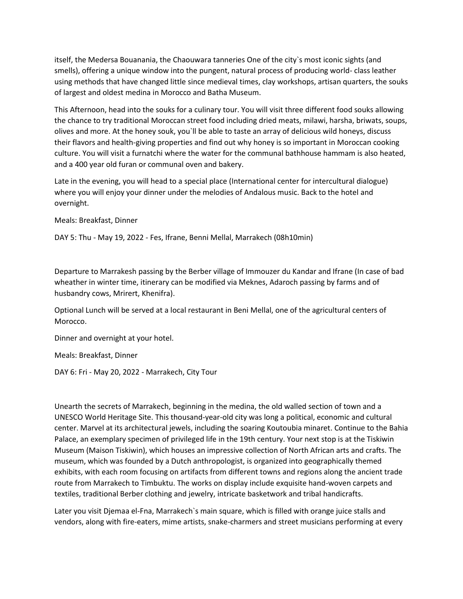itself, the Medersa Bouanania, the Chaouwara tanneries One of the city`s most iconic sights (and smells), offering a unique window into the pungent, natural process of producing world- class leather using methods that have changed little since medieval times, clay workshops, artisan quarters, the souks of largest and oldest medina in Morocco and Batha Museum.

This Afternoon, head into the souks for a culinary tour. You will visit three different food souks allowing the chance to try traditional Moroccan street food including dried meats, milawi, harsha, briwats, soups, olives and more. At the honey souk, you`ll be able to taste an array of delicious wild honeys, discuss their flavors and health-giving properties and find out why honey is so important in Moroccan cooking culture. You will visit a furnatchi where the water for the communal bathhouse hammam is also heated, and a 400 year old furan or communal oven and bakery.

Late in the evening, you will head to a special place (International center for intercultural dialogue) where you will enjoy your dinner under the melodies of Andalous music. Back to the hotel and overnight.

Meals: Breakfast, Dinner

DAY 5: Thu - May 19, 2022 - Fes, Ifrane, Benni Mellal, Marrakech (08h10min)

Departure to Marrakesh passing by the Berber village of Immouzer du Kandar and Ifrane (In case of bad wheather in winter time, itinerary can be modified via Meknes, Adaroch passing by farms and of husbandry cows, Mrirert, Khenifra).

Optional Lunch will be served at a local restaurant in Beni Mellal, one of the agricultural centers of Morocco.

Dinner and overnight at your hotel.

Meals: Breakfast, Dinner

DAY 6: Fri - May 20, 2022 - Marrakech, City Tour

Unearth the secrets of Marrakech, beginning in the medina, the old walled section of town and a UNESCO World Heritage Site. This thousand-year-old city was long a political, economic and cultural center. Marvel at its architectural jewels, including the soaring Koutoubia minaret. Continue to the Bahia Palace, an exemplary specimen of privileged life in the 19th century. Your next stop is at the Tiskiwin Museum (Maison Tiskiwin), which houses an impressive collection of North African arts and crafts. The museum, which was founded by a Dutch anthropologist, is organized into geographically themed exhibits, with each room focusing on artifacts from different towns and regions along the ancient trade route from Marrakech to Timbuktu. The works on display include exquisite hand-woven carpets and textiles, traditional Berber clothing and jewelry, intricate basketwork and tribal handicrafts.

Later you visit Djemaa el-Fna, Marrakech`s main square, which is filled with orange juice stalls and vendors, along with fire-eaters, mime artists, snake-charmers and street musicians performing at every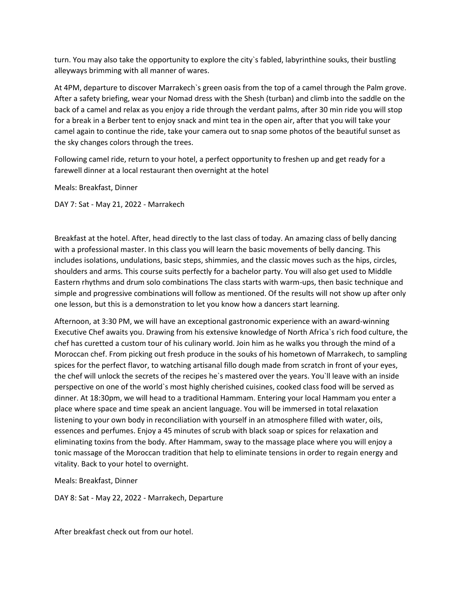turn. You may also take the opportunity to explore the city`s fabled, labyrinthine souks, their bustling alleyways brimming with all manner of wares.

At 4PM, departure to discover Marrakech`s green oasis from the top of a camel through the Palm grove. After a safety briefing, wear your Nomad dress with the Shesh (turban) and climb into the saddle on the back of a camel and relax as you enjoy a ride through the verdant palms, after 30 min ride you will stop for a break in a Berber tent to enjoy snack and mint tea in the open air, after that you will take your camel again to continue the ride, take your camera out to snap some photos of the beautiful sunset as the sky changes colors through the trees.

Following camel ride, return to your hotel, a perfect opportunity to freshen up and get ready for a farewell dinner at a local restaurant then overnight at the hotel

Meals: Breakfast, Dinner

DAY 7: Sat - May 21, 2022 - Marrakech

Breakfast at the hotel. After, head directly to the last class of today. An amazing class of belly dancing with a professional master. In this class you will learn the basic movements of belly dancing. This includes isolations, undulations, basic steps, shimmies, and the classic moves such as the hips, circles, shoulders and arms. This course suits perfectly for a bachelor party. You will also get used to Middle Eastern rhythms and drum solo combinations The class starts with warm-ups, then basic technique and simple and progressive combinations will follow as mentioned. Of the results will not show up after only one lesson, but this is a demonstration to let you know how a dancers start learning.

Afternoon, at 3:30 PM, we will have an exceptional gastronomic experience with an award-winning Executive Chef awaits you. Drawing from his extensive knowledge of North Africa`s rich food culture, the chef has curetted a custom tour of his culinary world. Join him as he walks you through the mind of a Moroccan chef. From picking out fresh produce in the souks of his hometown of Marrakech, to sampling spices for the perfect flavor, to watching artisanal fillo dough made from scratch in front of your eyes, the chef will unlock the secrets of the recipes he`s mastered over the years. You`ll leave with an inside perspective on one of the world`s most highly cherished cuisines, cooked class food will be served as dinner. At 18:30pm, we will head to a traditional Hammam. Entering your local Hammam you enter a place where space and time speak an ancient language. You will be immersed in total relaxation listening to your own body in reconciliation with yourself in an atmosphere filled with water, oils, essences and perfumes. Enjoy a 45 minutes of scrub with black soap or spices for relaxation and eliminating toxins from the body. After Hammam, sway to the massage place where you will enjoy a tonic massage of the Moroccan tradition that help to eliminate tensions in order to regain energy and vitality. Back to your hotel to overnight.

Meals: Breakfast, Dinner

DAY 8: Sat - May 22, 2022 - Marrakech, Departure

After breakfast check out from our hotel.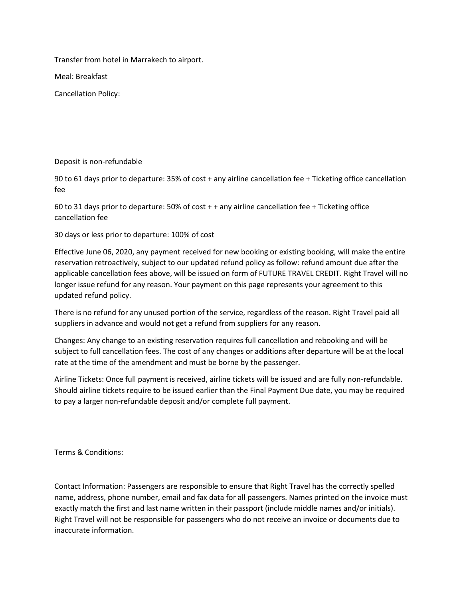Transfer from hotel in Marrakech to airport.

Meal: Breakfast

Cancellation Policy:

## Deposit is non-refundable

90 to 61 days prior to departure: 35% of cost + any airline cancellation fee + Ticketing office cancellation fee

60 to 31 days prior to departure: 50% of cost + + any airline cancellation fee + Ticketing office cancellation fee

30 days or less prior to departure: 100% of cost

Effective June 06, 2020, any payment received for new booking or existing booking, will make the entire reservation retroactively, subject to our updated refund policy as follow: refund amount due after the applicable cancellation fees above, will be issued on form of FUTURE TRAVEL CREDIT. Right Travel will no longer issue refund for any reason. Your payment on this page represents your agreement to this updated refund policy.

There is no refund for any unused portion of the service, regardless of the reason. Right Travel paid all suppliers in advance and would not get a refund from suppliers for any reason.

Changes: Any change to an existing reservation requires full cancellation and rebooking and will be subject to full cancellation fees. The cost of any changes or additions after departure will be at the local rate at the time of the amendment and must be borne by the passenger.

Airline Tickets: Once full payment is received, airline tickets will be issued and are fully non-refundable. Should airline tickets require to be issued earlier than the Final Payment Due date, you may be required to pay a larger non-refundable deposit and/or complete full payment.

Terms & Conditions:

Contact Information: Passengers are responsible to ensure that Right Travel has the correctly spelled name, address, phone number, email and fax data for all passengers. Names printed on the invoice must exactly match the first and last name written in their passport (include middle names and/or initials). Right Travel will not be responsible for passengers who do not receive an invoice or documents due to inaccurate information.